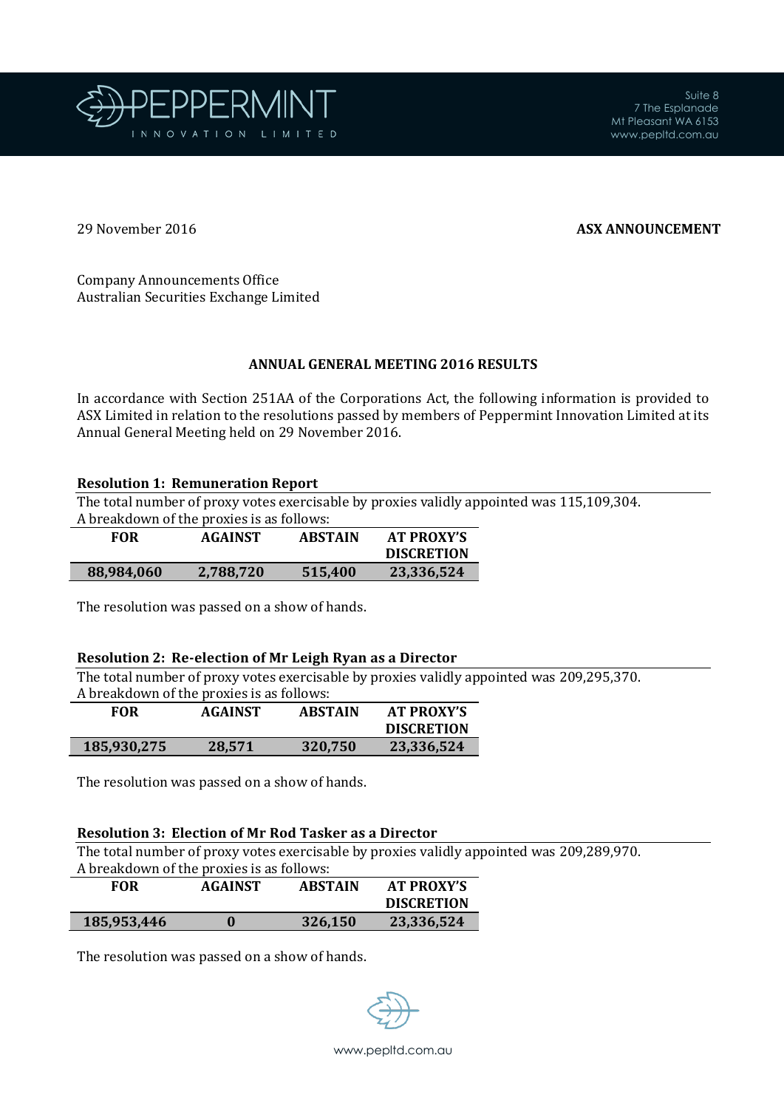

Suite 8 7 The Esplanade Mt Pleasant WA 6153 www.pepltd.com.au

#### 29 November 2016 **ASX ANNOUNCEMENT**

Company Announcements Office Australian Securities Exchange Limited

#### **ANNUAL GENERAL MEETING 2016 RESULTS**

In accordance with Section 251AA of the Corporations Act, the following information is provided to ASX Limited in relation to the resolutions passed by members of Peppermint Innovation Limited at its Annual General Meeting held on 29 November 2016.

## **Resolution 1: Remuneration Report**

The total number of proxy votes exercisable by proxies validly appointed was 115,109,304.

A breakdown of the proxies is as follows:

| FOR        | <b>AGAINST</b> | <b>ABSTAIN</b> | <b>AT PROXY'S</b> |
|------------|----------------|----------------|-------------------|
|            |                |                | <b>DISCRETION</b> |
| 88,984,060 | 2,788,720      | 515.400        | 23,336,524        |

The resolution was passed on a show of hands.

## **Resolution 2: Re-election of Mr Leigh Ryan as a Director**

The total number of proxy votes exercisable by proxies validly appointed was 209,295,370.

A breakdown of the proxies is as follows:

| FOR         | <b>AGAINST</b> | <b>ABSTAIN</b> | <b>AT PROXY'S</b> |
|-------------|----------------|----------------|-------------------|
|             |                |                | <b>DISCRETION</b> |
| 185,930,275 | 28,571         | 320,750        | 23,336,524        |

The resolution was passed on a show of hands.

## **Resolution 3: Election of Mr Rod Tasker as a Director**

The total number of proxy votes exercisable by proxies validly appointed was 209,289,970. A breakdown of the proxies is as follows:

| FOR         | <b>AGAINST</b> | <b>ABSTAIN</b> | <b>AT PROXY'S</b> |
|-------------|----------------|----------------|-------------------|
|             |                |                | <b>DISCRETION</b> |
| 185,953,446 |                | 326,150        | 23,336,524        |

The resolution was passed on a show of hands.